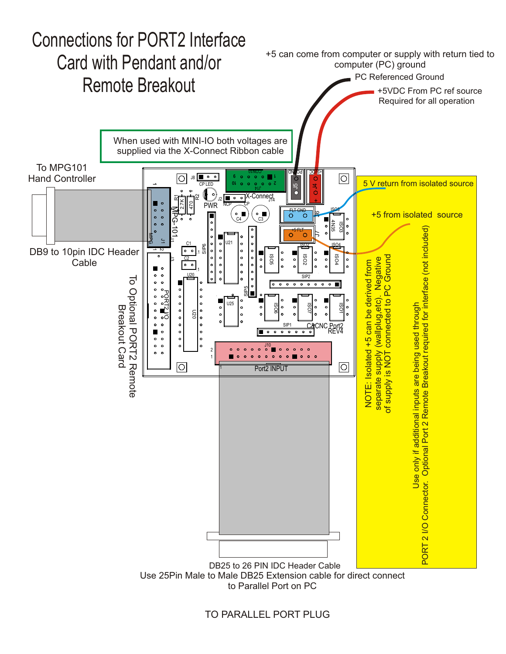

TO PARALLEL PORT PLUG